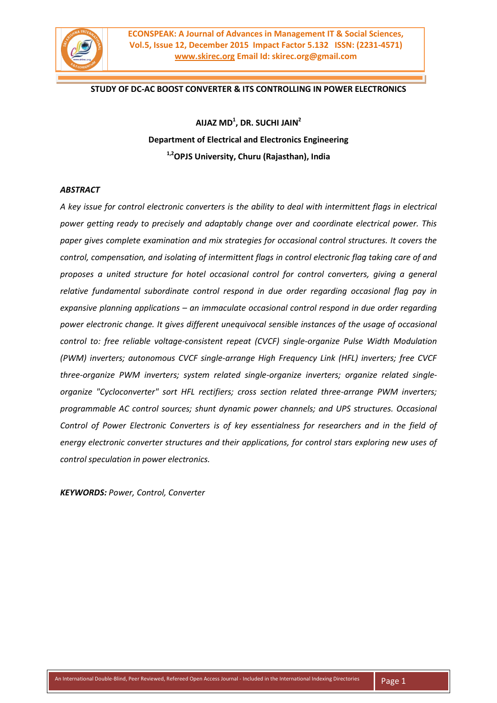

## **STUDY OF DC-AC BOOST CONVERTER & ITS CONTROLLING IN POWER ELECTRONICS**

**AIJAZ MD<sup>1</sup> , DR. SUCHI JAIN 2 Department of Electrical and Electronics Engineering 1,2OPJS University, Churu (Rajasthan), India**

#### *ABSTRACT*

*A key issue for control electronic converters is the ability to deal with intermittent flags in electrical power getting ready to precisely and adaptably change over and coordinate electrical power. This paper gives complete examination and mix strategies for occasional control structures. It covers the control, compensation, and isolating of intermittent flags in control electronic flag taking care of and proposes a united structure for hotel occasional control for control converters, giving a general relative fundamental subordinate control respond in due order regarding occasional flag pay in expansive planning applications – an immaculate occasional control respond in due order regarding power electronic change. It gives different unequivocal sensible instances of the usage of occasional control to: free reliable voltage-consistent repeat (CVCF) single-organize Pulse Width Modulation (PWM) inverters; autonomous CVCF single-arrange High Frequency Link (HFL) inverters; free CVCF three-organize PWM inverters; system related single-organize inverters; organize related singleorganize "Cycloconverter" sort HFL rectifiers; cross section related three-arrange PWM inverters; programmable AC control sources; shunt dynamic power channels; and UPS structures. Occasional Control of Power Electronic Converters is of key essentialness for researchers and in the field of energy electronic converter structures and their applications, for control stars exploring new uses of control speculation in power electronics.*

*KEYWORDS: Power, Control, Converter*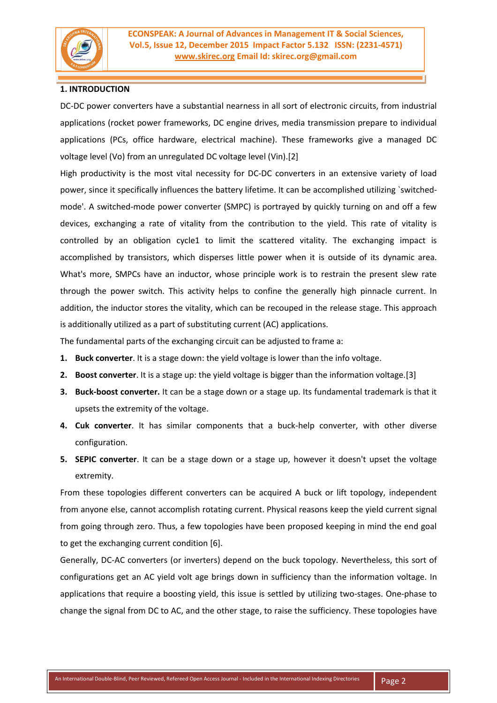

# **1. INTRODUCTION**

DC-DC power converters have a substantial nearness in all sort of electronic circuits, from industrial applications (rocket power frameworks, DC engine drives, media transmission prepare to individual applications (PCs, office hardware, electrical machine). These frameworks give a managed DC voltage level (Vo) from an unregulated DC voltage level (Vin).[2]

High productivity is the most vital necessity for DC-DC converters in an extensive variety of load power, since it specifically influences the battery lifetime. It can be accomplished utilizing `switchedmode'. A switched-mode power converter (SMPC) is portrayed by quickly turning on and off a few devices, exchanging a rate of vitality from the contribution to the yield. This rate of vitality is controlled by an obligation cycle1 to limit the scattered vitality. The exchanging impact is accomplished by transistors, which disperses little power when it is outside of its dynamic area. What's more, SMPCs have an inductor, whose principle work is to restrain the present slew rate through the power switch. This activity helps to confine the generally high pinnacle current. In addition, the inductor stores the vitality, which can be recouped in the release stage. This approach is additionally utilized as a part of substituting current (AC) applications.

The fundamental parts of the exchanging circuit can be adjusted to frame a:

- **1. Buck converter**. It is a stage down: the yield voltage is lower than the info voltage.
- **2. Boost converter**. It is a stage up: the yield voltage is bigger than the information voltage.[3]
- **3. Buck-boost converter.** It can be a stage down or a stage up. Its fundamental trademark is that it upsets the extremity of the voltage.
- **4. Cuk converter**. It has similar components that a buck-help converter, with other diverse configuration.
- **5. SEPIC converter**. It can be a stage down or a stage up, however it doesn't upset the voltage extremity.

From these topologies different converters can be acquired A buck or lift topology, independent from anyone else, cannot accomplish rotating current. Physical reasons keep the yield current signal from going through zero. Thus, a few topologies have been proposed keeping in mind the end goal to get the exchanging current condition [6].

Generally, DC-AC converters (or inverters) depend on the buck topology. Nevertheless, this sort of configurations get an AC yield volt age brings down in sufficiency than the information voltage. In applications that require a boosting yield, this issue is settled by utilizing two-stages. One-phase to change the signal from DC to AC, and the other stage, to raise the sufficiency. These topologies have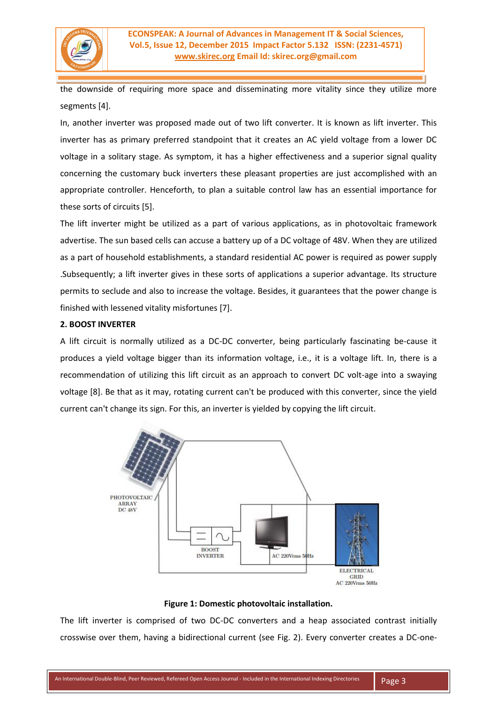

the downside of requiring more space and disseminating more vitality since they utilize more segments [4].

In, another inverter was proposed made out of two lift converter. It is known as lift inverter. This inverter has as primary preferred standpoint that it creates an AC yield voltage from a lower DC voltage in a solitary stage. As symptom, it has a higher effectiveness and a superior signal quality concerning the customary buck inverters these pleasant properties are just accomplished with an appropriate controller. Henceforth, to plan a suitable control law has an essential importance for these sorts of circuits [5].

The lift inverter might be utilized as a part of various applications, as in photovoltaic framework advertise. The sun based cells can accuse a battery up of a DC voltage of 48V. When they are utilized as a part of household establishments, a standard residential AC power is required as power supply .Subsequently; a lift inverter gives in these sorts of applications a superior advantage. Its structure permits to seclude and also to increase the voltage. Besides, it guarantees that the power change is finished with lessened vitality misfortunes [7].

## **2. BOOST INVERTER**

A lift circuit is normally utilized as a DC-DC converter, being particularly fascinating be-cause it produces a yield voltage bigger than its information voltage, i.e., it is a voltage lift. In, there is a recommendation of utilizing this lift circuit as an approach to convert DC volt-age into a swaying voltage [8]. Be that as it may, rotating current can't be produced with this converter, since the yield current can't change its sign. For this, an inverter is yielded by copying the lift circuit.



### **Figure 1: Domestic photovoltaic installation.**

The lift inverter is comprised of two DC-DC converters and a heap associated contrast initially crosswise over them, having a bidirectional current (see Fig. 2). Every converter creates a DC-one-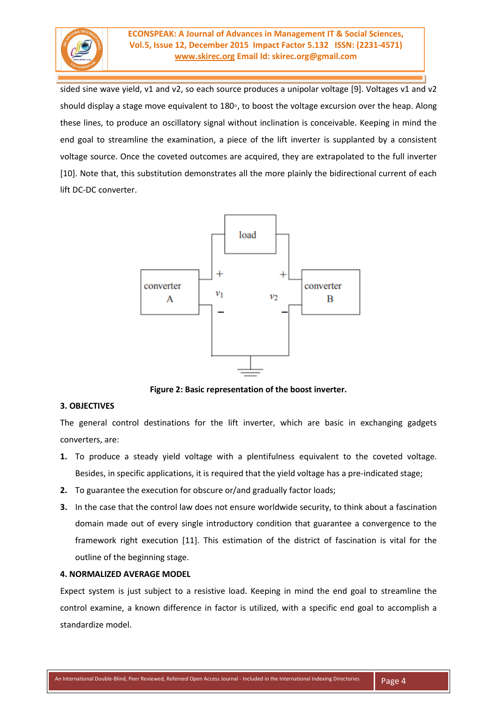

sided sine wave yield, v1 and v2, so each source produces a unipolar voltage [9]. Voltages v1 and v2 should display a stage move equivalent to 180◦, to boost the voltage excursion over the heap. Along these lines, to produce an oscillatory signal without inclination is conceivable. Keeping in mind the end goal to streamline the examination, a piece of the lift inverter is supplanted by a consistent voltage source. Once the coveted outcomes are acquired, they are extrapolated to the full inverter [10]. Note that, this substitution demonstrates all the more plainly the bidirectional current of each lift DC-DC converter.



**Figure 2: Basic representation of the boost inverter.**

### **3. OBJECTIVES**

The general control destinations for the lift inverter, which are basic in exchanging gadgets converters, are:

- **1.** To produce a steady yield voltage with a plentifulness equivalent to the coveted voltage. Besides, in specific applications, it is required that the yield voltage has a pre-indicated stage;
- **2.** To guarantee the execution for obscure or/and gradually factor loads;
- **3.** In the case that the control law does not ensure worldwide security, to think about a fascination domain made out of every single introductory condition that guarantee a convergence to the framework right execution [11]. This estimation of the district of fascination is vital for the outline of the beginning stage.

### **4. NORMALIZED AVERAGE MODEL**

Expect system is just subject to a resistive load. Keeping in mind the end goal to streamline the control examine, a known difference in factor is utilized, with a specific end goal to accomplish a standardize model.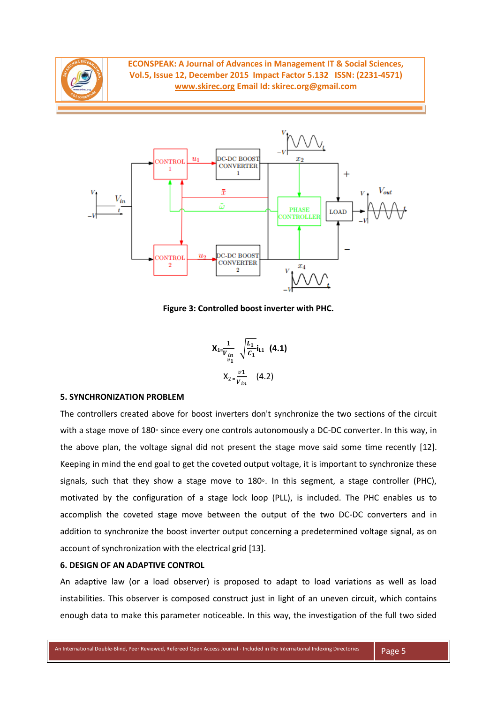



**Figure 3: Controlled boost inverter with PHC.**

$$
X_{1} = \frac{1}{v_{in}} \sqrt{\frac{L_1}{C_1}} i_{11} \quad (4.1)
$$

$$
X_{2} = \frac{v1}{v_{in}} \quad (4.2)
$$

#### **5. SYNCHRONIZATION PROBLEM**

The controllers created above for boost inverters don't synchronize the two sections of the circuit with a stage move of 180∘ since every one controls autonomously a DC-DC converter. In this way, in the above plan, the voltage signal did not present the stage move said some time recently [12]. Keeping in mind the end goal to get the coveted output voltage, it is important to synchronize these signals, such that they show a stage move to 180°. In this segment, a stage controller (PHC), motivated by the configuration of a stage lock loop (PLL), is included. The PHC enables us to accomplish the coveted stage move between the output of the two DC-DC converters and in addition to synchronize the boost inverter output concerning a predetermined voltage signal, as on account of synchronization with the electrical grid [13].

#### **6. DESIGN OF AN ADAPTIVE CONTROL**

An adaptive law (or a load observer) is proposed to adapt to load variations as well as load instabilities. This observer is composed construct just in light of an uneven circuit, which contains enough data to make this parameter noticeable. In this way, the investigation of the full two sided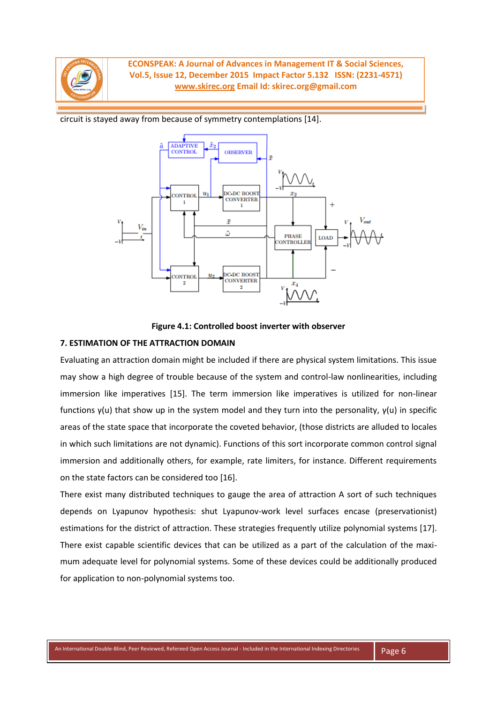

circuit is stayed away from because of symmetry contemplations [14].





### **7. ESTIMATION OF THE ATTRACTION DOMAIN**

Evaluating an attraction domain might be included if there are physical system limitations. This issue may show a high degree of trouble because of the system and control-law nonlinearities, including immersion like imperatives [15]. The term immersion like imperatives is utilized for non-linear functions γ(u) that show up in the system model and they turn into the personality, γ(u) in specific areas of the state space that incorporate the coveted behavior, (those districts are alluded to locales in which such limitations are not dynamic). Functions of this sort incorporate common control signal immersion and additionally others, for example, rate limiters, for instance. Different requirements on the state factors can be considered too [16].

There exist many distributed techniques to gauge the area of attraction A sort of such techniques depends on Lyapunov hypothesis: shut Lyapunov-work level surfaces encase (preservationist) estimations for the district of attraction. These strategies frequently utilize polynomial systems [17]. There exist capable scientific devices that can be utilized as a part of the calculation of the maximum adequate level for polynomial systems. Some of these devices could be additionally produced for application to non-polynomial systems too.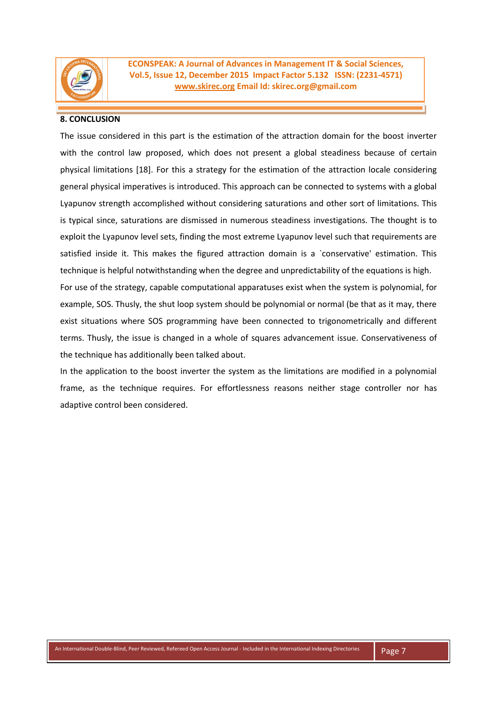

### **8. CONCLUSION**

The issue considered in this part is the estimation of the attraction domain for the boost inverter with the control law proposed, which does not present a global steadiness because of certain physical limitations [18]. For this a strategy for the estimation of the attraction locale considering general physical imperatives is introduced. This approach can be connected to systems with a global Lyapunov strength accomplished without considering saturations and other sort of limitations. This is typical since, saturations are dismissed in numerous steadiness investigations. The thought is to exploit the Lyapunov level sets, finding the most extreme Lyapunov level such that requirements are satisfied inside it. This makes the figured attraction domain is a `conservative' estimation. This technique is helpful notwithstanding when the degree and unpredictability of the equations is high. For use of the strategy, capable computational apparatuses exist when the system is polynomial, for example, SOS. Thusly, the shut loop system should be polynomial or normal (be that as it may, there exist situations where SOS programming have been connected to trigonometrically and different

terms. Thusly, the issue is changed in a whole of squares advancement issue. Conservativeness of the technique has additionally been talked about.

In the application to the boost inverter the system as the limitations are modified in a polynomial frame, as the technique requires. For effortlessness reasons neither stage controller nor has adaptive control been considered.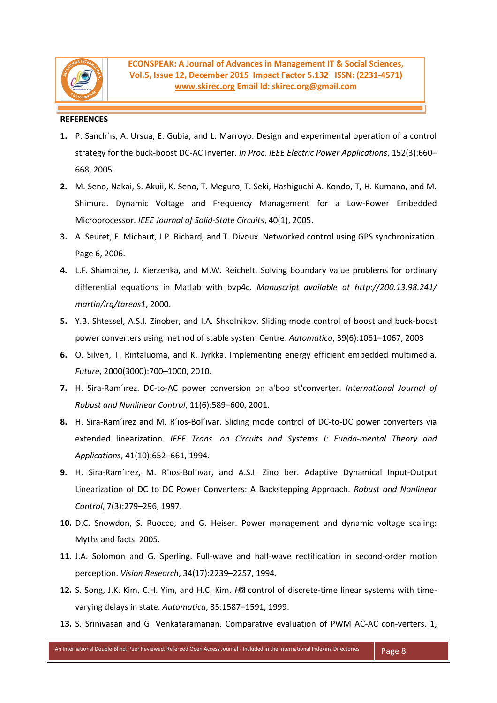

#### **REFERENCES**

- **1.** P. Sanch´ıs, A. Ursua, E. Gubia, and L. Marroyo. Design and experimental operation of a control strategy for the buck-boost DC-AC Inverter. *In Proc. IEEE Electric Power Applications*, 152(3):660– 668, 2005.
- **2.** M. Seno, Nakai, S. Akuii, K. Seno, T. Meguro, T. Seki, Hashiguchi A. Kondo, T, H. Kumano, and M. Shimura. Dynamic Voltage and Frequency Management for a Low-Power Embedded Microprocessor. *IEEE Journal of Solid-State Circuits*, 40(1), 2005.
- **3.** A. Seuret, F. Michaut, J.P. Richard, and T. Divoux. Networked control using GPS synchronization. Page 6, 2006.
- **4.** L.F. Shampine, J. Kierzenka, and M.W. Reichelt. Solving boundary value problems for ordinary differential equations in Matlab with bvp4c. *Manuscript available at http://200.13.98.241/ martin/irq/tareas1*, 2000.
- **5.** Y.B. Shtessel, A.S.I. Zinober, and I.A. Shkolnikov. Sliding mode control of boost and buck-boost power converters using method of stable system Centre. *Automatica*, 39(6):1061–1067, 2003
- **6.** O. Silven, T. Rintaluoma, and K. Jyrkka. Implementing energy efficient embedded multimedia. *Future*, 2000(3000):700–1000, 2010.
- **7.** H. Sira-Ram´ırez. DC-to-AC power conversion on a'boo st'converter. *International Journal of Robust and Nonlinear Control*, 11(6):589–600, 2001.
- **8.** H. Sira-Ram´ırez and M. R´ıos-Bol´ıvar. Sliding mode control of DC-to-DC power converters via extended linearization. *IEEE Trans. on Circuits and Systems I: Funda-mental Theory and Applications*, 41(10):652–661, 1994.
- **9.** H. Sira-Ram´ırez, M. R´ıos-Bol´ıvar, and A.S.I. Zino ber. Adaptive Dynamical Input-Output Linearization of DC to DC Power Converters: A Backstepping Approach. *Robust and Nonlinear Control*, 7(3):279–296, 1997.
- **10.** D.C. Snowdon, S. Ruocco, and G. Heiser. Power management and dynamic voltage scaling: Myths and facts. 2005.
- **11.** J.A. Solomon and G. Sperling. Full-wave and half-wave rectification in second-order motion perception. *Vision Research*, 34(17):2239–2257, 1994.
- 12. S. Song, J.K. Kim, C.H. Yim, and H.C. Kim. *H*<sup>2</sup> control of discrete-time linear systems with timevarying delays in state. *Automatica*, 35:1587–1591, 1999.
- **13.** S. Srinivasan and G. Venkataramanan. Comparative evaluation of PWM AC-AC con-verters. 1,